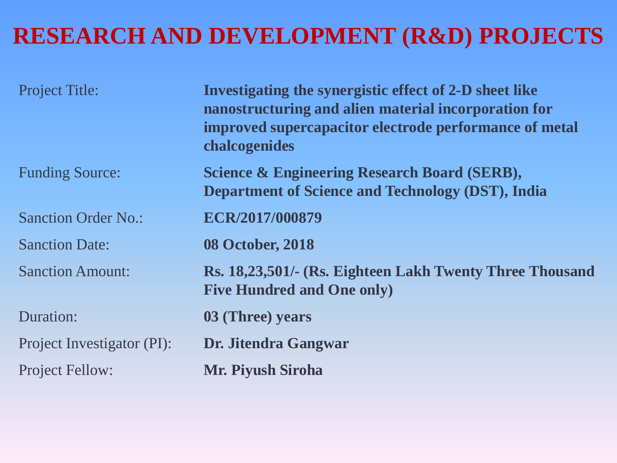#### **RESEARCH AND DEVELOPMENT (R&D) PROJECTS**

| <b>Project Title:</b>      | Investigating the synergistic effect of 2-D sheet like<br>nanostructuring and alien material incorporation for<br>improved supercapacitor electrode performance of metal<br>chalcogenides |
|----------------------------|-------------------------------------------------------------------------------------------------------------------------------------------------------------------------------------------|
| <b>Funding Source:</b>     | <b>Science &amp; Engineering Research Board (SERB),</b><br><b>Department of Science and Technology (DST), India</b>                                                                       |
| <b>Sanction Order No.:</b> | ECR/2017/000879                                                                                                                                                                           |
| <b>Sanction Date:</b>      | <b>08 October, 2018</b>                                                                                                                                                                   |
| <b>Sanction Amount:</b>    | Rs. 18,23,501/- (Rs. Eighteen Lakh Twenty Three Thousand<br><b>Five Hundred and One only)</b>                                                                                             |
| Duration:                  | 03 (Three) years                                                                                                                                                                          |
| Project Investigator (PI): | Dr. Jitendra Gangwar                                                                                                                                                                      |
| <b>Project Fellow:</b>     | <b>Mr. Piyush Siroha</b>                                                                                                                                                                  |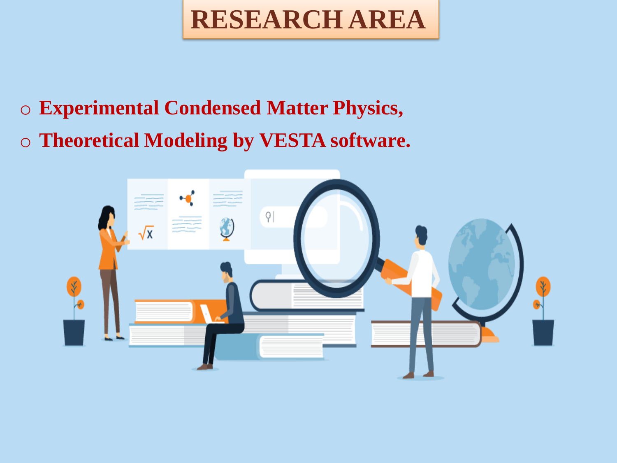**RESEARCH AREA** 

- o **Experimental Condensed Matter Physics,**
- o **Theoretical Modeling by VESTA software.**

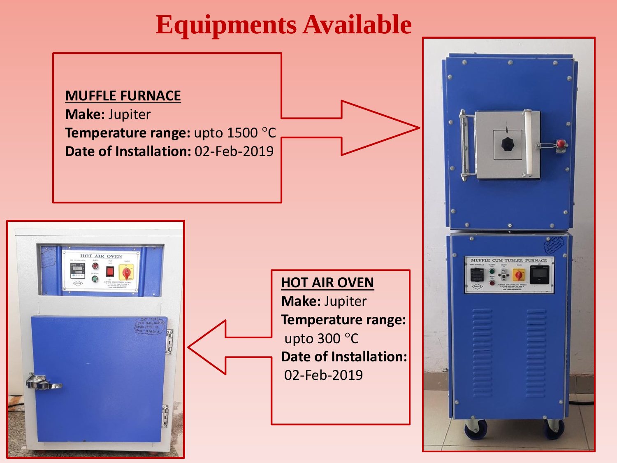## **Equipments Available**

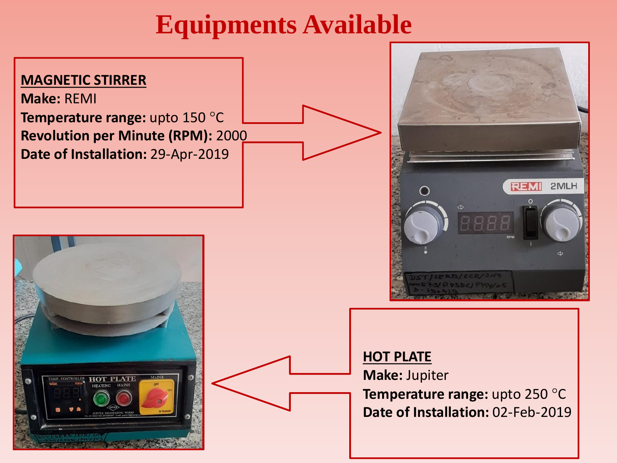## **Equipments Available**

#### **MAGNETIC STIRRER**

**Make:** REMI **Temperature range:** upto 150 °C **Revolution per Minute (RPM):** 2000 **Date of Installation:** 29-Apr-2019







#### **HOT PLATE Make:** Jupiter **Temperature range:** upto 250 °C **Date of Installation:** 02-Feb-2019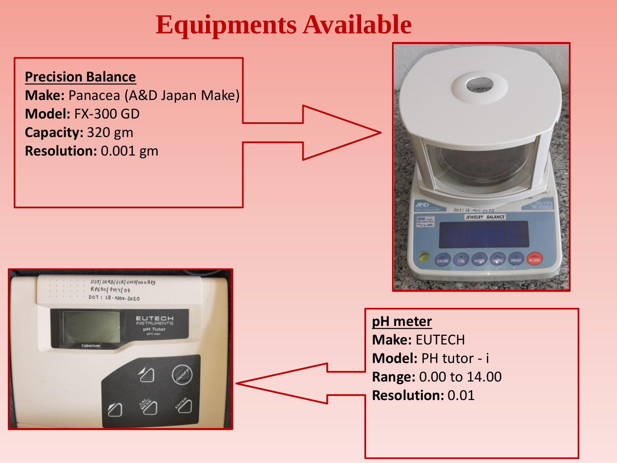## **Equipments Available**

#### **Precision Balance**

**Make:** Panacea (A&D Japan Make) **Model:** FX-300 GD **Capacity:** 320 gm **Resolution:** 0.001 gm





#### **pH meter**

**Make:** EUTECH **Model:** PH tutor - i **Range:** 0.00 to 14.00 **Resolution:** 0.01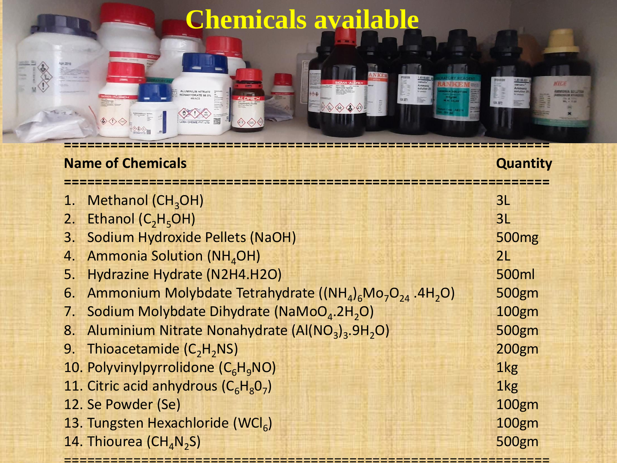# **Chemicals available**

ALUMINIUM NITRATE

 $\begin{picture}(120,10) \put(0,0){\line(1,0){10}} \put(15,0){\line(1,0){10}} \put(15,0){\line(1,0){10}} \put(15,0){\line(1,0){10}} \put(15,0){\line(1,0){10}} \put(15,0){\line(1,0){10}} \put(15,0){\line(1,0){10}} \put(15,0){\line(1,0){10}} \put(15,0){\line(1,0){10}} \put(15,0){\line(1,0){10}} \put(15,0){\line(1,0){10}} \put(15,0){\line($ 

**NKI** 

 $\Diamond \diamondsuit \diamondsuit \diamondsuit \diamondsuit$ 

Callway<br>Ammeri<br>Kolufian

48.872

NILE

**UN 2672** 

**MONIA SOLUT** 

**Var.2010** 

 $\begin{picture}(160,170) \put(0,0){\line(1,0){10}} \put(10,0){\line(1,0){10}} \put(10,0){\line(1,0){10}} \put(10,0){\line(1,0){10}} \put(10,0){\line(1,0){10}} \put(10,0){\line(1,0){10}} \put(10,0){\line(1,0){10}} \put(10,0){\line(1,0){10}} \put(10,0){\line(1,0){10}} \put(10,0){\line(1,0){10}} \put(10,0){\line(1,0){10}} \put(10,0){\line$ 

| <b>Name of Chemicals</b> |                                                                                                                         |                   |
|--------------------------|-------------------------------------------------------------------------------------------------------------------------|-------------------|
|                          | 1. Methanol (CH <sub>3</sub> OH)                                                                                        | 3L                |
|                          | 2. Ethanol $(C_2H_5OH)$                                                                                                 | 3L                |
|                          | 3. Sodium Hydroxide Pellets (NaOH)                                                                                      | 500 <sub>mg</sub> |
|                          | 4. Ammonia Solution (NH <sub>4</sub> OH)                                                                                | 2L                |
|                          | 5. Hydrazine Hydrate (N2H4.H2O)                                                                                         | 500ml             |
|                          | 6. Ammonium Molybdate Tetrahydrate ((NH <sub>4</sub> ) <sub>6</sub> Mo <sub>7</sub> O <sub>24</sub> .4H <sub>2</sub> O) | 500gm             |
|                          | 7. Sodium Molybdate Dihydrate (NaMoO <sub>4</sub> .2H <sub>2</sub> O)                                                   | <b>100gm</b>      |
|                          | 8. Aluminium Nitrate Nonahydrate (Al(NO <sub>3</sub> ) <sub>3</sub> .9H <sub>2</sub> O)                                 | 500gm             |
|                          | 9. Thioacetamide $(C_2H_2NS)$                                                                                           | <b>200gm</b>      |
|                          | 10. Polyvinylpyrrolidone (C <sub>6</sub> H <sub>q</sub> NO)                                                             | 1kg               |
|                          | 11. Citric acid anhydrous $(C_6H_8O_7)$                                                                                 | 1kg               |
|                          | 12. Se Powder (Se)                                                                                                      | <b>100gm</b>      |
|                          | 13. Tungsten Hexachloride (WCl <sub>6</sub> )                                                                           | 100gm             |
|                          | 14. Thiourea ( $CH_4N_2S$ )                                                                                             | <b>500gm</b>      |

===============================================================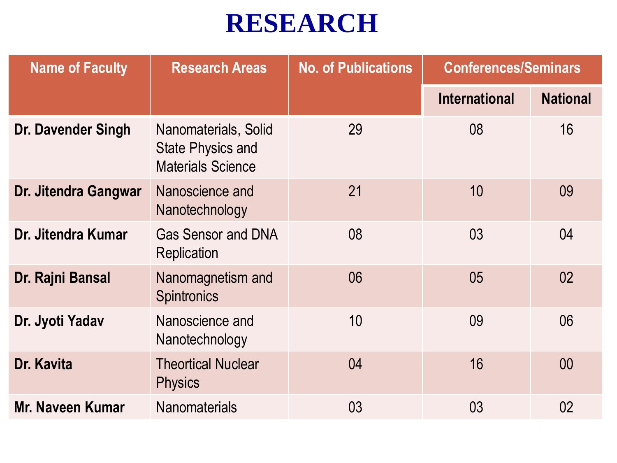## **RESEARCH**

| <b>Name of Faculty</b>    | <b>Research Areas</b>                                                        | <b>No. of Publications</b> | <b>Conferences/Seminars</b> |                 |
|---------------------------|------------------------------------------------------------------------------|----------------------------|-----------------------------|-----------------|
|                           |                                                                              |                            | <b>International</b>        | <b>National</b> |
| <b>Dr. Davender Singh</b> | Nanomaterials, Solid<br><b>State Physics and</b><br><b>Materials Science</b> | 29                         | 08                          | 16              |
| Dr. Jitendra Gangwar      | Nanoscience and<br>Nanotechnology                                            | 21                         | 10                          | 09              |
| Dr. Jitendra Kumar        | <b>Gas Sensor and DNA</b><br>Replication                                     | 08                         | 03                          | 04              |
| Dr. Rajni Bansal          | Nanomagnetism and<br><b>Spintronics</b>                                      | 06                         | 05                          | 02              |
| Dr. Jyoti Yadav           | Nanoscience and<br>Nanotechnology                                            | 10                         | 09                          | 06              |
| Dr. Kavita                | <b>Theortical Nuclear</b><br><b>Physics</b>                                  | 04                         | 16                          | 00              |
| Mr. Naveen Kumar          | <b>Nanomaterials</b>                                                         | 03                         | 03                          | 02              |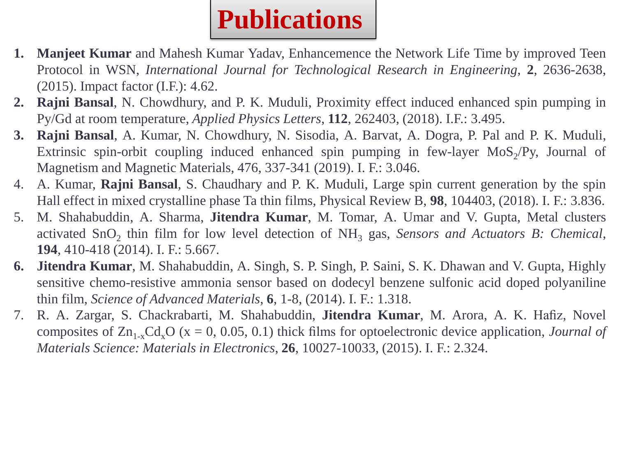

- **1. Manjeet Kumar** and Mahesh Kumar Yadav, Enhancemence the Network Life Time by improved Teen Protocol in WSN, *International Journal for Technological Research in Engineering*, **2**, 2636-2638, (2015). Impact factor (I.F.): 4.62.
- **2. Rajni Bansal**, N. Chowdhury, and P. K. Muduli, Proximity effect induced enhanced spin pumping in Py/Gd at room temperature, *Applied Physics Letters*, **112**, 262403, (2018). I.F.: 3.495.
- **3. Rajni Bansal**, A. Kumar, N. Chowdhury, N. Sisodia, A. Barvat, A. Dogra, P. Pal and P. K. Muduli, Extrinsic spin-orbit coupling induced enhanced spin pumping in few-layer  $MoS_2/Py$ , Journal of Magnetism and Magnetic Materials, 476, 337-341 (2019). I. F.: 3.046.
- 4. A. Kumar, **Rajni Bansal**, S. Chaudhary and P. K. Muduli, Large spin current generation by the spin Hall effect in mixed crystalline phase Ta thin films, Physical Review B, **98**, 104403, (2018). I. F.: 3.836.
- 5. M. Shahabuddin, A. Sharma, **Jitendra Kumar**, M. Tomar, A. Umar and V. Gupta, Metal clusters activated SnO<sub>2</sub> thin film for low level detection of NH<sub>3</sub> gas, *Sensors and Actuators B: Chemical*, **194**, 410-418 (2014). I. F.: 5.667.
- **6. Jitendra Kumar**, M. Shahabuddin, A. Singh, S. P. Singh, P. Saini, S. K. Dhawan and V. Gupta, Highly sensitive chemo-resistive ammonia sensor based on dodecyl benzene sulfonic acid doped polyaniline thin film, *Science of Advanced Materials*, **6**, 1-8, (2014). I. F.: 1.318.
- 7. R. A. Zargar, S. Chackrabarti, M. Shahabuddin, **Jitendra Kumar**, M. Arora, A. K. Hafiz, Novel composites of  $Zn_{1-x}Cd_xO$  (x = 0, 0.05, 0.1) thick films for optoelectronic device application, *Journal of Materials Science: Materials in Electronics*, **26**, 10027-10033, (2015). I. F.: 2.324.